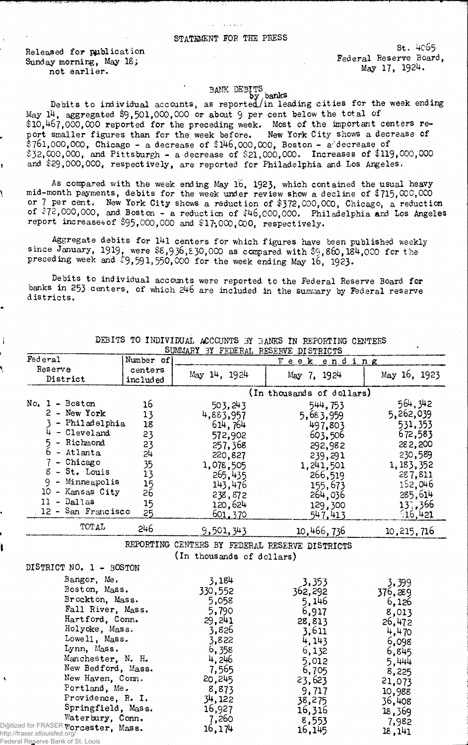## STATEMENT FOR THE PRESS

Released for publication Sunday morning, May 18; not earlier.

-1

st. 4065 Federal Reserve Board, May IT, 1924.

BANK DEBITS<br>Debits to individual accounts, as reported/in leading cities for the week ending<br>May 14, aggregated \$9,501,000,000 or about 9 per cent below the total of  $\$10,467,000, \aa$ O reported for the preceding week. Most of the important centers report smaller figures than for the week before. New York City shows a decrease of \$761,000,000, Chicago - a decrease of \$146,000,000, Boston - a'"decrease of \$32,000,000, and Pittsburgh - a decrease of \$21,000,000. Increases of \$119,000,000 and \$29,000,000, respectively, are reported for Philadelphia and Los Angeles.

As compared with the week ending May 16, 1923, which contained the usual heavy mid-month payments, debits for the week under review show a decline of \$715, 000,000 or 7 per cent. New York City shows a reduction of \$372,000,000, Chicago, a reduction of \$72,000,000, and Boston - a reduction of \$46,000,000, Philadelphia and Los Angeles report increases of \$95,000,000 and \$17,000,000, respectively.

Aggregate debits for 141 centers for which figures have been published weekly since January, 1919, were  $$5,936,830,000$  as compared with  $$9,860,184,000$  for the preceding week and \$9,591,550,000 for the week ending May 16, 1923.

Debits to individual accounts were reported to the Federal Reserve Board for banks in 253 centers, of which 246 are included in the summary by Federal reserve d istricts.

|                                                                    |            | SUMMARY 3Y FEDERAL RESERVE DISTRICTS           |                           |                  |
|--------------------------------------------------------------------|------------|------------------------------------------------|---------------------------|------------------|
| Federal                                                            | Number of  |                                                | Week ending               |                  |
| Reserve                                                            | centers    | May 14, 1924                                   | May 7, 1924               | May 16, 1923     |
| District                                                           | included   |                                                |                           |                  |
|                                                                    |            |                                                | (In thousands of dollars) |                  |
| No. 1 - Boston                                                     | 16         | 503, 243                                       | 544,753                   | 564, 342         |
| 2 - New York                                                       | 13         | 4,883,957                                      | 5,683,959                 | 5,262,039        |
| - Philadelphia                                                     | 18         | 614,764                                        | 497,803                   | 531, 353         |
| - Cleveland                                                        | 23         | 572,902                                        | 603,506                   | 672,583          |
| - Richmond                                                         | 23         | 257,368                                        | 292,982                   | 282,200          |
| 6<br>- Atlanta                                                     | 24         | 220,827                                        | 239,291                   | 230,589          |
| - Chicago                                                          | 35         | 1,078,505                                      | 1,241,501                 | 1, 183, 352      |
| 8<br>- St. Louis                                                   | 13         | 265,435                                        | 266,519                   | 287,811          |
| $9 -$ Minneapolis                                                  | 15         | 143,476                                        | 155,673                   | 152,046          |
| 10 - Kansas City                                                   | $2\bar{6}$ | 238,872                                        | 264,036                   | 285,614          |
| $11 - Dal$ las                                                     | 15         | 120,624                                        | 129,300                   | 13:366           |
| 12 - San Francisco                                                 | 25         | <u>601,370</u>                                 | 547,413                   | 516,421          |
| TOTAL                                                              | 246        | 9,501,343                                      | 10,466,736                | 10, 215, 716     |
|                                                                    |            | REPORTING CENTERS BY FEDERAL RESERVE DISTRICTS |                           |                  |
|                                                                    |            | (In thousands of dollars)                      |                           |                  |
| DISTRICT NO. 1 - BOSTON                                            |            |                                                |                           |                  |
| Bangor, Me.                                                        |            |                                                |                           |                  |
| Boston, Mass.                                                      |            | 3,184                                          | 3,353                     | 3,399            |
| Brockton, Mass.                                                    |            | 330,552<br>5,058                               | 362,292                   | 376,289          |
| Fall River, Mass.                                                  |            | 5,790                                          | 5,146                     | 6,126            |
| Hartford, Conn.                                                    |            | 29,241                                         | 6,917                     | 8,013            |
| Holyoke, Mass.                                                     |            | 3,826                                          | 28,813<br>3,611           | 26,472           |
| Lowell, Mass.                                                      |            | 3,822                                          | 4,143                     | 4,470            |
| Lynn, Mass.                                                        |            | 6,358                                          | 6,132                     | 6,098            |
| Manchester, N. H.                                                  |            | 4,246                                          | 5,012                     | 6,845            |
| New Bedford, Mass.                                                 |            | 7,565                                          | 6,705                     | 5,444            |
| New Haven, Com.                                                    |            | 20,245                                         | 23,623                    | 8,225            |
| Portland, Me.                                                      |            | 8,873                                          | 9,717                     | 21,073<br>10,988 |
| Providence, R. I.                                                  |            | 34,122                                         | 38,275                    | 36,408           |
| Springfield, Mass.                                                 |            | 16,927                                         | 16,316                    | 18,369           |
| Waterbury, Conn.                                                   |            | 7,260                                          | 8,553                     |                  |
| Digitized for FRASER $\mathtt{Worcester,~Masss.}$                  |            | 16,174                                         | 16,145                    | 7,982<br>18,141  |
| http://fraser.stlouisfed.org/<br>Federal Reserve Bank of St. Louis |            |                                                |                           |                  |

DEBITS TO INDIVIDUAL ACCOUNTS BY BANKS IN REPORTING CENTERS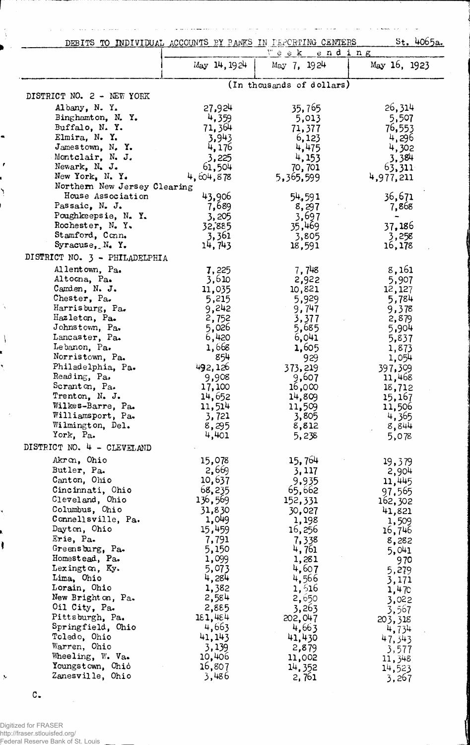|                                      | DEBITS TO INDIVIDUAL ACCOUNTS BY PANKS IN PEPORTING CENTERS | Week ending               | St. 4065a.        |
|--------------------------------------|-------------------------------------------------------------|---------------------------|-------------------|
|                                      | May 14, 1924                                                | May 7, 1924               | May 16, 1923      |
|                                      |                                                             | (In thousands of dollars) |                   |
| DISTRICT NO. 2 - NEW YORK            |                                                             |                           |                   |
| Albany, N. Y.                        | 27,924                                                      | 35,765                    | 26,314            |
| Binghamton, N.Y.                     | 4,359                                                       | 5,013                     | 5,507             |
| Buffalo, N.Y.<br>Elmira, N. Y.       | 71,364                                                      | 71,377                    | 76,553            |
| Jamestown, N.Y.                      | 3,943<br>4,176                                              | 6,123<br>4,475            | 4,296<br>4,302    |
| Montclair, N. J.                     | 3,225                                                       | 4,153                     | 3,384             |
| Newark, N. J.                        | 61,504                                                      | 70,701                    | 63,311            |
| New York, N.Y.                       | 4,604,878                                                   | 5,365,599                 | 4,977,211         |
| Northern New Jersey Clearing         |                                                             |                           |                   |
| House Association                    | 43,906                                                      | 54,591                    | 36,671            |
| Passaic, N. J.<br>Poughkeepsie, N.Y. | 7,689                                                       | 8,297                     | 7,868             |
| Rochester, N.Y.                      | 3,205<br>32,885                                             | 3,697<br>35,469           | 37,186            |
| Stamford, Conn.                      | 3,361                                                       | 3,805                     | 3,258             |
| Syracuse, $N_4$ Y.                   | 14,743                                                      | 18,591                    | 16,178            |
| DISTRICT NO. 3 - PHILADELPHIA        |                                                             |                           |                   |
| Allentown, Pa.                       | 7,225                                                       | 7,748                     | 8,161             |
| Altocna, Pa.                         | 3,610                                                       | 2,922                     | 5,907             |
| Canden, N. $J.$                      | 11,035                                                      | 10,821                    | 12,127            |
| Chester, Pa.                         | 5,215                                                       | 5,929                     | 5,784             |
| Harrisburg, Pa.                      | 9,242                                                       | 9,747                     | 9,378             |
| Hazleton, Pa.<br>Johnstown, Pa.      | 2,752<br>5,026                                              | 3,377<br>5,685            | 2,879<br>5,904    |
| Lancaster, Pa.                       | 6,420                                                       | 6,041                     | 5,837             |
| Lebanon, Pa.                         | 1,668                                                       | 1,605                     | 1,873             |
| Norristown, Pa.                      | 854                                                         | 929                       | 1,054             |
| Philadelphia, Pa.                    | 492,126                                                     | 373,219                   | 397,309           |
| Reading, Pa.                         | 9,908                                                       | 9,607                     | 11,468            |
| Scranton, Pa.<br>Trenton, N. J.      | 17,100                                                      | 16,000                    | 18,712            |
| Wilkes-Barre, Pa.                    | 14,652<br>11,514                                            | 14,809<br>11,509          | 15,167<br>11,506  |
| Williamsport, Pa.                    | 3,721                                                       | 3,805                     | 4,365             |
| Wilmington, Del.                     | 8,295                                                       | 8,812                     | 8,844             |
| York, Pa.                            | 4,401                                                       | 5,238                     | 5,078             |
| DISTRICT NO. 4 - CLEVELAND           |                                                             |                           |                   |
| Akron, Ohio                          | 15,078                                                      | 15,764                    | 19,379            |
| Butler, Pa.                          | 2,669                                                       | 3,117                     | 2,904             |
| Canton, Ohio                         | 10,637                                                      | 9,935                     | 11,445            |
| Cincinnati, Ohio<br>Cleveland, Ohio  | 68,235                                                      | 65,662<br>152,331         | 97,565            |
| Columbus, Ohio                       | 136,569<br>31,830                                           | 30,027                    | 162,302<br>41,821 |
| Connellsville, Pa.                   | 1,049                                                       | 1,198                     | 1,509             |
| Dayton, Ohio                         | 15,459                                                      | 16,256                    | 16,746            |
| Erie, Pa.                            | 7,791                                                       | 7,338                     | 8,282             |
| Greensburg, Pa.                      | 5,150                                                       | 4,761                     | 5,041             |
| Homestead, Pa.                       | 1,099                                                       | 1,281                     | 970               |
| Lexington, Ky.<br>Lima, Ohio         | 5,073<br>4,284                                              | 4,607<br>4,566            | 5,279             |
| Lorain, Ohio                         | 1,382                                                       | 1,516                     | 3,171<br>1,470    |
| New Brighton, Pa.                    | 2,584                                                       | 2,650                     | 3,022             |
| Oil City, Pa.                        | 2,885                                                       | 3,263                     | 3,567             |
| Pittsburgh, Pa.                      | 181,484                                                     | 202,047                   | 203,318           |
| Springfield, Ohio                    | 4,663                                                       | 4,663                     | 4,734             |
| Toledo, Ohio<br>Warren, Ohio         | 41, 143                                                     | 41,430                    | 47,343            |
| Wheeling, W. Va.                     | 3,139<br>10,406                                             | 2,879<br>11,002           | 3,577             |
| Youngstown, Ohio                     | 16,807                                                      | 14,352                    | 11,348<br>14,523  |
| Zanesville, Ohio                     | 3,486                                                       | 2,761                     | 3,267             |

 $\bar{\mathcal{A}}$ 

 $\sim$  .

معاشرته وللمراجعة القلقعات

l,

للمستعمل والمناس

ò,  $\Delta$  , and  $\Delta$  ساب بلها

 $\sim$  $\mathcal{L}$  $\sim$  . We can also  $\sim$ 

 $\hat{u}$  ,  $\hat{u}$  ,  $\hat{u}$  ,  $\hat{u}$ 

i,

 $\bar{z}_1,\bar{z}_2$ 

c.

 $\frac{1}{3}$ 

 $\mathbf{r}$ 

١

 $\lambda$ 

 $\backslash$ 

×

 $\hat{\boldsymbol{\beta}}$ 

Ì

 $\bar{\gamma}$ 

 $\bar{\beta}$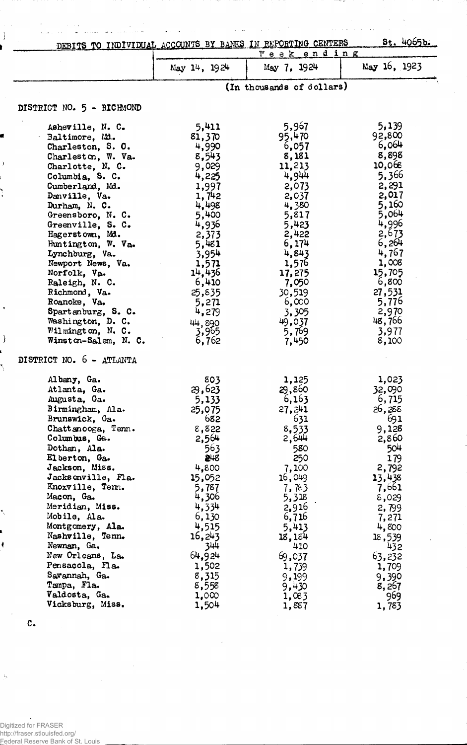| DEBITS TO INDIVIDUAL ACCOUNTS BY BANKS IN REPORTING CENTERS |                           | <u>Week end ing</u> | St. 4065b.     |  |
|-------------------------------------------------------------|---------------------------|---------------------|----------------|--|
|                                                             | May 14, 1924              | May 7, 1924         | May 16, 1923   |  |
|                                                             | (In thousands of dollars) |                     |                |  |
| DISTRICT NO. 5 - RICHMOND                                   |                           |                     |                |  |
| Asheville, N. C.                                            | 5,411                     | 5,967               | 5,139          |  |
| Baltimore, Md.                                              | 81,370                    | 95,470              | 92,800         |  |
| Charleston, S. O.                                           | 4,990                     | 6,057               | 6,064          |  |
| Charleston, W. Va.                                          | 8,543                     | 8,181               | 8,898          |  |
| Charlotte, N. C.                                            | 9,029                     | 11,213              | 10,068         |  |
| Columbia, S. C.                                             | 4,225                     | 4,944               | 5,366          |  |
| Cumberland, Md.                                             | 1,997                     | 2,073               | 2,291          |  |
| Danville, Va.                                               | 1,742                     | 2,037               | 2,017          |  |
| Durham, N. C.<br>Greensboro, N. C.                          | 4,498<br>5,400            | 4,380               | 5,160<br>5,064 |  |
| Greenville, S. C.                                           | 4,936                     | 5,817<br>5,423      | 4,996          |  |
| Hagerstown, Md.                                             | 2,373                     | 2,422               | 2,673          |  |
| Huntington, W. Va.                                          | 5,481                     | 6,174               | 6,264          |  |
| Lynchburg, Va.                                              | 3,954                     | 4,843               | 4,767          |  |
| Newport News, Va.                                           | 1,571                     | 1,576               | 1,008          |  |
| Norfolk, Va.                                                | 14,436                    | 17,275              | 15,705         |  |
| Raleigh, N. C.                                              | 6,410                     | 7,050               | 6,800          |  |
| Richmond, Va.                                               | 25,835                    | 30,519              | 27,531         |  |
| Roanoke, Va.                                                | 5,271                     | 6,000               | 5,776          |  |
| Spartanburg, S. C.                                          | 4,279                     | 3,305               | 2,970          |  |
| Washington, D. C.                                           | 44,890                    | 49,037              | 48,766         |  |
| Wilmington, N. C.<br>Winston-Salem, N. C.                   | 3,965<br>6,762            | 5,769               | 3,977<br>8,100 |  |
| DISTRICT NO. 6 - ATLANTA                                    |                           | 7,450               |                |  |
|                                                             |                           |                     |                |  |
| Albany, Ga.                                                 | 803                       | 1,125               | 1,023          |  |
| Atlanta, Ga.                                                | 29,623                    | 29,860              | 32,090         |  |
| Augusta, Ga.                                                | 5,133                     | 6,163               | 6,715          |  |
| Birmingham, Ala.                                            | 25,075                    | 27,241              | 26,288         |  |
| Brunswick, Ga.                                              | 682                       | 631                 | 691            |  |
| Chattanooga, Tenn.<br>Columbus, Ga.                         | 8,822<br>2,564            | 8,533<br>2,644      | 9,128<br>2,860 |  |
| Dothan, Ala.                                                | 563                       | 580                 | 504            |  |
| El berton, Ga.                                              | 248                       | 250                 | 179            |  |
| Jackson, Miss.                                              | 4,800                     | 7,100               | 2,792          |  |
| Jacksonville, Fla.                                          | 15,052                    | 16,049              | 13,438         |  |
| Knoxville, Term.                                            | 5,787                     | 7,783               | 7,661          |  |
| Macon, Ga.                                                  | 4,306                     | 5,318               | 8,029          |  |
| Meridian, Miss.                                             | 4,334                     | 2,916               | 2,799          |  |
| Mobile, Ala.                                                | 6,130                     | 6,716               | 7,271          |  |
| Montgomery, Ala.                                            | 4,515                     | 5,413               | 4,800          |  |
| Nashville, Tenn.                                            | 16,243                    | 18,184              | 18,539         |  |
| Newnan, Ga.                                                 | 344                       | 410                 | 432            |  |
| New Orleans, La.<br>Pensacola, Fla.                         | 64.924<br>1,502           | 69,037              | 63,232         |  |
| Savannah, Ga.                                               | 8,315                     | 1,739<br>9,199      | 1,709<br>9,390 |  |
| Tampa, Fla.                                                 | 8,558                     | 9,430               | 8,267          |  |
| Valdosta, Ga.                                               | 1,000                     | 1,083               | 969            |  |
| Vicksburg, Miss.                                            | 1,504                     | 1,887               | 1,783          |  |
|                                                             |                           |                     |                |  |

 $\overline{\phantom{a}}$ 

 $\hat{\boldsymbol{\gamma}}$ 

 $\bar{\gamma}$  $\ddot{\phantom{0}}$ 

 $\bar{\mathcal{A}}$ 

 $\hat{\mathcal{A}}$ 

 $\sim$  100  $\sim$  100  $\sim$  100  $\sim$ 

 $\frac{1}{2}$  ,  $\frac{1}{2}$ 

 $\Delta \sim 1$ 

 $\hat{z}$  ,  $\hat{\beta}$ 

 $\sim$   $\sim$ 

 $\sim$  .  $\mathcal{A}_\bullet$ 

سألبث

 $\mathcal{L}$ 

 $\mathbf{I}$ 

 $\ddot{\phantom{0}}$ 

 $\mathcal{E}$ 

c.

 $\ddot{\phantom{0}}$ 

 $\frac{1}{2}$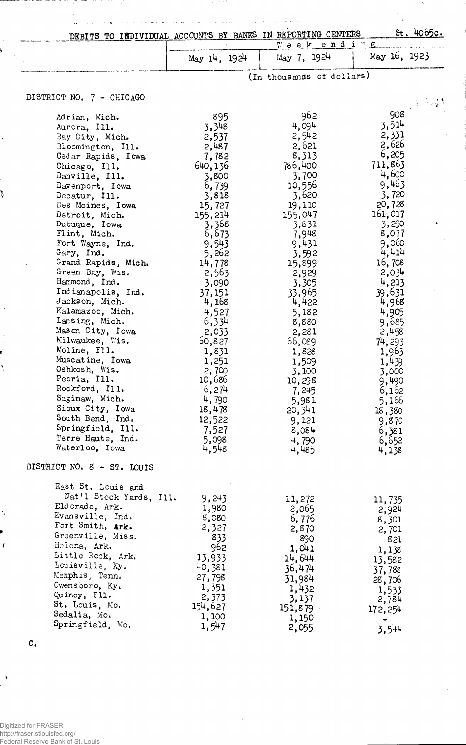|                                       |                  | DEBITS TO INDIVIDUAL ACCOUNTS BY BANKS IN REPORTING CENTERS |                  | St. 4065c. |
|---------------------------------------|------------------|-------------------------------------------------------------|------------------|------------|
|                                       |                  | Weekending                                                  |                  |            |
|                                       | May 14, 1924     | May 7, 1924                                                 | May 16, 1923     |            |
|                                       |                  | (In thousands of dollars)                                   |                  |            |
| DISTRICT NO. 7 - CHICAGO              |                  |                                                             |                  |            |
| Adrian, Mich.                         | 895              | 962                                                         | 908              |            |
| Aurora, Ill.                          | 3,348            | 4,094                                                       | 3,514            |            |
| Bay City, Mich.                       | 2,537            | 2,542                                                       | 2,331            |            |
| Bloomington, Ill.                     | 2,487            | 2,621                                                       | 2,626            |            |
| Cedar Rapids, Iowa                    | 7,782            | 8,313                                                       | 6,205<br>711,863 |            |
| Chicago, Ill.<br>Danville, Ill.       | 640,136<br>3,800 | 786,400<br>3,700                                            | 4,600            |            |
| Davenport, Iowa                       | 6,739            | 10,556                                                      | 9,463            |            |
| Decatur, Ill.                         | 3,818            | 3,620                                                       | 3,720            |            |
| Des Moines, Iowa                      | 15,727           | 19,110                                                      | 20,728           |            |
| Detroit, Mich.                        | 155,214          | 155,047                                                     | 161,017          |            |
| Dubuque, Iowa                         | 3,368            | 3,831                                                       | 3,290            |            |
| Flint, Mich.                          | 6,673            | 7,948                                                       | 8,077            |            |
| Fort Wayne, Ind.<br>Gary, Ind.        | 9,543            | 9,431                                                       | 9,060<br>4,414   |            |
| Grand Rapids, Mich.                   | 5,262<br>14,778  | 3,592<br>15,899                                             | 16,708           |            |
| Green Bay, Wis.                       | 2,563            | 2,929                                                       | 2,034            |            |
| Hammond, Ind.                         | 3,090            | 3,305                                                       | 4,213            |            |
| Indianapolis, Ind.                    | 37,151           | 33,965                                                      | 39,631           |            |
| Jackson, Mich.                        | 4,168            | 4,422                                                       | 4,968            |            |
| Kalamazoo, Mich.                      | 4,527            | 5,182                                                       | 4,905            |            |
| Lansing, Mich.                        | 6,334            | 8,880                                                       | 9,685            |            |
| Mason City, Iowa<br>Milwaukee, Wis.   | 2,033<br>60,827  | 2,281                                                       | 2,458            |            |
| Moline, Ill.                          | 1,831            | 66,089<br>1,828                                             | 74, 293<br>1,963 |            |
| Muscatine, Iowa                       | 1,251            | 1,509                                                       | 1,439            |            |
| Oshkosh, Wis.                         | 2,700            | 3,100                                                       | 3,000            |            |
| Peoria, Ill.                          | 10,686           | 10,298                                                      | 9,490            |            |
| Rockford, Ill.                        | 6,274            | 7,245                                                       | 6,162            |            |
| Saginaw, Mich.                        | 4,790            | 5,981                                                       | 5,166            |            |
| Sioux City, Iowa<br>South Bend, Ind.  | 18,478           | 20,341                                                      | 18,380           |            |
| Springfield, Ill.                     | 12,522           | 9,121                                                       | 9,870            |            |
| Terre Haute, Ind.                     | 7,527<br>5,098   | 8,084<br>4,790                                              | 6,381            |            |
| Waterloo, Iowa                        | 4,548            | 4,485                                                       | 6,652<br>4,138   |            |
| DISTRICT NO. 8 - ST. LOUIS            |                  |                                                             |                  |            |
| East St. Louis and                    |                  |                                                             |                  |            |
| Nat'l Stock Yards, Ill.               | 9,243            | 11,272                                                      | 11,735           |            |
| Eldorado, Ark.                        | 1,980            | 2,065                                                       | 2,924            |            |
| Evansville, Ind.                      | 8,080            | 6,776                                                       | 8,301            |            |
| Fort Smith, Ark.<br>Greenville, Miss. | 2,327            | 2,870                                                       | 2,701            |            |
| Helena, Ark.                          | 833              | 890                                                         | 821              |            |
| Little Rock, Ark.                     | 962<br>13,933    | 1,041                                                       | 1,138            |            |
| Louisville, Ky.                       | 40,381           | 14,644<br>36,474                                            | 13,582           |            |
| Memphis, Tenn.                        | 27,798           | 31,984                                                      | 37,788<br>28,706 |            |
| Owensboro, $Ky_*$                     | 1,351            | 1,432                                                       | 1,533            |            |
| Quincy, Ill.                          | 2,373            | 3,137                                                       | 2,784            |            |
| St. Louis, Mo.                        | 154,627          | 151,879                                                     | 172,254          |            |
| Sedalia, Mo.<br>Springfield, Mo.      | 1,100            | 1,150                                                       |                  |            |
|                                       | 1,547            | 2,055                                                       | 3,544            |            |

 $\hat{\omega}_1 = \hat{\omega}_1 \hat{\omega}_2$  .

 $\sim$ 

 $\overline{\phantom{a}}$ 

 $\omega$  and  $\omega$ 

 $\mathbf{v}_i$ 

 $\hat{A}$ 

 $\ddot{\phantom{a}}$ 

c.

 $\overline{\phantom{a}}$ 

t,  $\zeta_{\rm max}$  .

Ť ļ

 $\ddot{\phantom{1}}$ 

 $\bar{t}$ 

 $\ddot{\phantom{0}}$ 

ì

 $\overline{1}$ 

 $\overline{\phantom{a}}$ 

ستعلما للأناء

 $\bar{\mathcal{L}}$ 

 $\ddot{\phantom{a}}$ i<br>Links للأمالي

 $\frac{1}{2}$ 

 $\ddot{\phantom{a}}$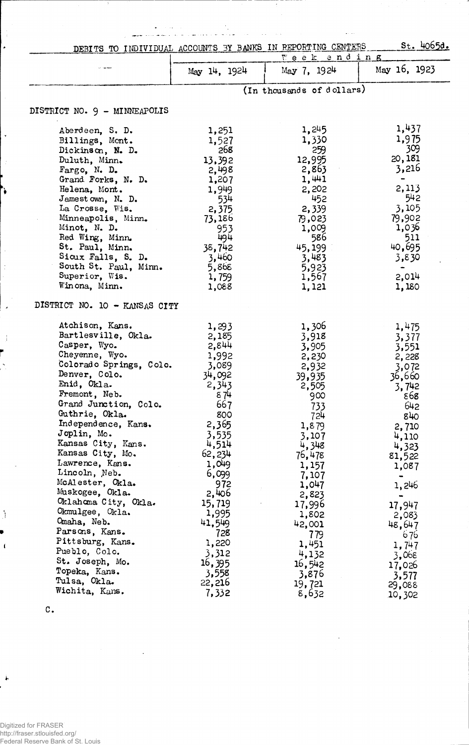|                                     | St. 4065d.<br>DEBITS TO INDIVIDUAL ACCOUNTS BY BANKS IN REPORTING CENTERS<br>Week and ing |                           |                 |
|-------------------------------------|-------------------------------------------------------------------------------------------|---------------------------|-----------------|
|                                     | May 14, 1924                                                                              | May 7, 1924               | May 16, 1923    |
|                                     |                                                                                           | (In thousands of dollars) |                 |
| DISTRICT NO. 9 - MINNEAPOLIS        |                                                                                           |                           |                 |
| Aberdeen, S. D.                     | 1,251                                                                                     | 1,245                     | 1,437           |
| Billings, Mont.                     | 1,527                                                                                     | 1,330                     | 1,975           |
| Dickinson, N. D.                    | 268                                                                                       | 259                       | 309             |
| Duluth, Minn.                       | 13,392                                                                                    | 12,995                    | 20,181          |
| Fargo, N. D.                        | 2,498                                                                                     | 2,863                     | 3,216           |
| Grand Forks, N. D.                  | 1,207                                                                                     | 1,441                     |                 |
| Helena, Mont.                       | 1,949                                                                                     | 2,202                     | 2,113           |
| Jamestown, N. D.                    | 534                                                                                       | 452                       | 542             |
| La Crosse, Wis.                     | 2,375                                                                                     | 2,339                     | 3,105           |
| Minneapolis, Minn.<br>Minot, N. D.  | 73,186                                                                                    | 79,023                    | 79,902<br>1,036 |
| Red Wing, Minn.                     | 953<br>494                                                                                | 1,009<br>586              | 511             |
| St. Paul, Minn.                     | 38,742                                                                                    | 45,199                    | 40,695          |
| Sioux Falls, S. D.                  | 3,460                                                                                     | 3,483                     | 3,830           |
| South St. Paul, Minn.               | 5,868                                                                                     | 5,923                     |                 |
| Superior, Wis.                      | 1,759                                                                                     | 1,567                     | 2,014           |
| Winona, Minn.                       | 1,088                                                                                     | 1,121                     | 1,180           |
| DISTRICT NO. 10 - KANSAS CITY       |                                                                                           |                           |                 |
| Atchison, Kans.                     | 1,293                                                                                     | 1,306                     | 1,475           |
| Bartlesville, Okla.<br>Casper, Wyo. | 2,185                                                                                     | 3,918                     | 3,377           |
| Cheyenne, Wyo.                      | 2,844                                                                                     | 3,905                     | 3,551           |
| Colorado Springs, Colo.             | 1,992                                                                                     | 2,230                     | 2,228           |
| Denver, Colo.                       | 3,089<br>34,092                                                                           | 2,932                     | 3,072           |
| Enid, Okla.                         | 2,343                                                                                     | 39,935                    | 36,660          |
| Fremont, Neb.                       | 874                                                                                       | 2,505                     | 3,742           |
| Grand Junction, Colo.               | 667                                                                                       | 900                       | 868<br>642      |
| Guthrie, Okla.                      | 800                                                                                       | 733<br>724                | 840             |
| Independence, Kans.                 | 2,365                                                                                     | 1,879                     |                 |
| Joplin, Mo.                         | 3,535                                                                                     | 3,107                     | 2,710<br>4,110  |
| Kansas City, Kans.                  | 4,514                                                                                     | 4,348                     | 4,323           |
| Kansas City, Mo.                    | 62,234                                                                                    | 76,478                    | 81,522          |
| Lawrence, Kans.                     | 1,049                                                                                     | 1,157                     | 1,087           |
| Lincoln, Neb.                       | 6,099                                                                                     | 7,107                     |                 |
| McAlester, Okla.                    | 972                                                                                       | 1,047                     | 1,246           |
| Muskogee, Okla.                     | 2,406                                                                                     | 2,823                     |                 |
| Oklahoma City, Okla.                | 15,719                                                                                    | 17,996                    | 17,947          |
| Okmulgee, Okla.                     | 1,995                                                                                     | 1,802                     | 2,083           |
| Omaha, Neb.                         | 41,549                                                                                    | 42,001                    | 48,647          |
| Parsons, Kans.                      | 728                                                                                       | 779                       | 676             |
| Pittsburg, Kans.                    | 1,220                                                                                     | 1,451                     | 1,747           |
| Pueblo, Colo.                       | 3,312                                                                                     | 4,132                     | 3,068           |
| St. Joseph, Mo.                     | 16,395                                                                                    | 16,542                    | 17,026          |
| Topeka, Kans.                       | 3,558                                                                                     | 3,876                     | 3,577           |
| Tulsa, Okla.                        | 22,216                                                                                    | 19,721                    | 29,088          |
| Wichita, Kans.                      | 7,332                                                                                     | 8,632                     | 10,302          |

l.

J

 $\frac{1}{4}$ 

 $\ddot{\bullet}$ 

 $\ddot{\phantom{1}}$ 

¥

l,

 $\ddot{\cdot}$ 

 $\overline{\phantom{a}}$ 

- i

Ď

 $\mathbf{I}$ 

À

C.